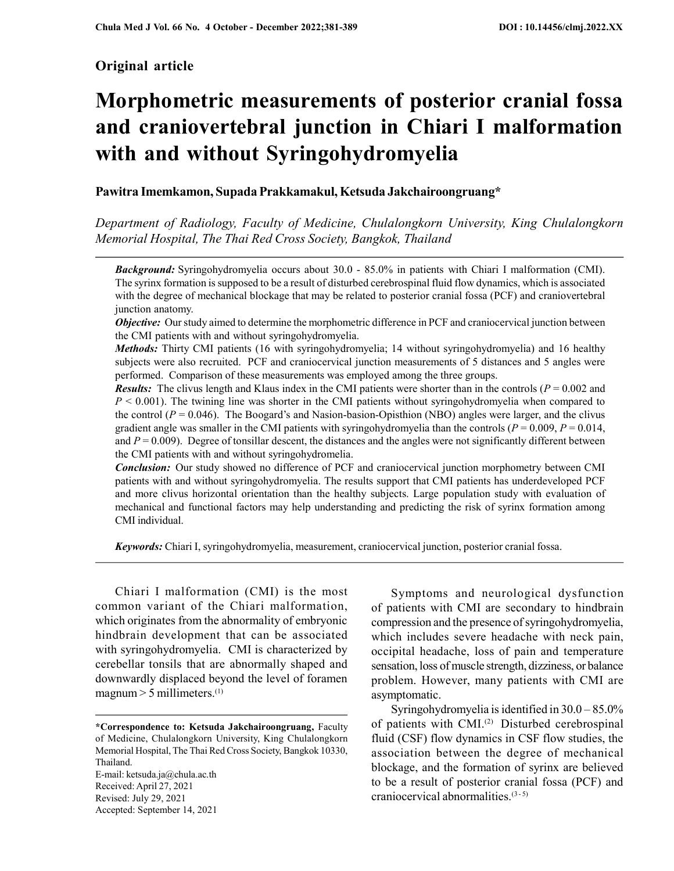# Original article

# Morphometric measurements of posterior cranial fossa and craniovertebral junction in Chiari I malformation with and without Syringohydromyelia

# Pawitra Imemkamon, Supada Prakkamakul, Ketsuda Jakchairoongruang\*

Department of Radiology, Faculty of Medicine, Chulalongkorn University, King Chulalongkorn Memorial Hospital, The Thai Red Cross Society, Bangkok, Thailand

**Background:** Syringohydromyelia occurs about 30.0 - 85.0% in patients with Chiari I malformation (CMI). The syrinx formation is supposed to be a result of disturbed cerebrospinal fluid flow dynamics, which is associated with the degree of mechanical blockage that may be related to posterior cranial fossa (PCF) and craniovertebral junction anatomy.

**Objective:** Our study aimed to determine the morphometric difference in PCF and craniocervical junction between the CMI patients with and without syringohydromyelia.

Methods: Thirty CMI patients (16 with syringohydromyelia; 14 without syringohydromyelia) and 16 healthy subjects were also recruited. PCF and craniocervical junction measurements of 5 distances and 5 angles were performed. Comparison of these measurements was employed among the three groups.

**Results:** The clivus length and Klaus index in the CMI patients were shorter than in the controls ( $P = 0.002$  and  $P < 0.001$ ). The twining line was shorter in the CMI patients without syringohydromyelia when compared to the control ( $P = 0.046$ ). The Boogard's and Nasion-basion-Opisthion (NBO) angles were larger, and the clivus gradient angle was smaller in the CMI patients with syringohydromyelia than the controls ( $P = 0.009$ ,  $P = 0.014$ , and  $P = 0.009$ ). Degree of tonsillar descent, the distances and the angles were not significantly different between the CMI patients with and without syringohydromelia.

Conclusion: Our study showed no difference of PCF and craniocervical junction morphometry between CMI patients with and without syringohydromyelia. The results support that CMI patients has underdeveloped PCF and more clivus horizontal orientation than the healthy subjects. Large population study with evaluation of mechanical and functional factors may help understanding and predicting the risk of syrinx formation among CMI individual.

Keywords: Chiari I, syringohydromyelia, measurement, craniocervical junction, posterior cranial fossa.

Chiari I malformation (CMI) is the most common variant of the Chiari malformation, which originates from the abnormality of embryonic hindbrain development that can be associated with syringohydromyelia. CMI is characterized by cerebellar tonsils that are abnormally shaped and downwardly displaced beyond the level of foramen magnum  $>$  5 millimeters.<sup>(1)</sup>

E-mail: ketsuda.ja@chula.ac.th Received: April 27, 2021 Revised: July 29, 2021 Accepted: September 14, 2021

Symptoms and neurological dysfunction of patients with CMI are secondary to hindbrain compression and the presence of syringohydromyelia, which includes severe headache with neck pain, occipital headache, loss of pain and temperature sensation, loss of muscle strength, dizziness, or balance problem. However, many patients with CMI are asymptomatic.

Syringohydromyelia is identified in 30.0 – 85.0% of patients with CMI.(2) Disturbed cerebrospinal fluid (CSF) flow dynamics in CSF flow studies, the association between the degree of mechanical blockage, and the formation of syrinx are believed to be a result of posterior cranial fossa (PCF) and craniocervical abnormalities.<sup>(3-5)</sup>

<sup>\*</sup>Correspondence to: Ketsuda Jakchairoongruang, Faculty of Medicine, Chulalongkorn University, King Chulalongkorn Memorial Hospital, The Thai Red Cross Society, Bangkok 10330, Thailand.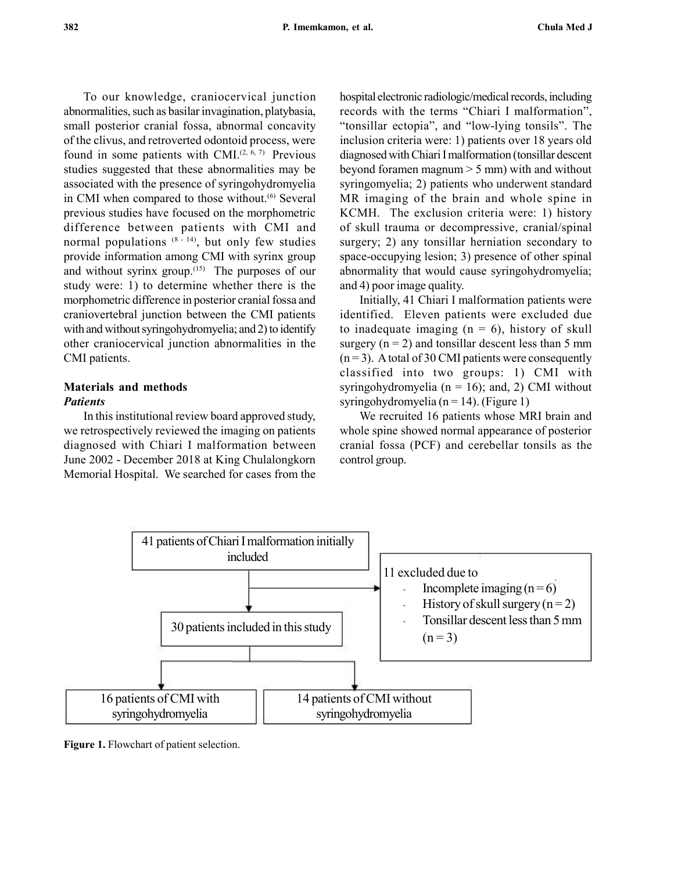To our knowledge, craniocervical junction abnormalities, such as basilar invagination, platybasia, small posterior cranial fossa, abnormal concavity of the clivus, and retroverted odontoid process, were found in some patients with CMI. $(2, 6, 7)$  Previous studies suggested that these abnormalities may be associated with the presence of syringohydromyelia in CMI when compared to those without.<sup>(6)</sup> Several previous studies have focused on the morphometric difference between patients with CMI and normal populations  $(8 - 14)$ , but only few studies provide information among CMI with syrinx group and without syrinx group.(15) The purposes of our study were: 1) to determine whether there is the morphometric difference in posterior cranial fossa and craniovertebral junction between the CMI patients with and without syringohydromyelia; and 2) to identify other craniocervical junction abnormalities in the CMI patients.

# Materials and methods **Patients**

In this institutional review board approved study, we retrospectively reviewed the imaging on patients diagnosed with Chiari I malformation between June 2002 - December 2018 at King Chulalongkorn Memorial Hospital. We searched for cases from the hospital electronic radiologic/medical records, including records with the terms "Chiari I malformation", "tonsillar ectopia", and "low-lying tonsils". The inclusion criteria were: 1) patients over 18 years old diagnosed with Chiari I malformation (tonsillar descent beyond foramen magnum > 5 mm) with and without syringomyelia; 2) patients who underwent standard MR imaging of the brain and whole spine in KCMH. The exclusion criteria were: 1) history of skull trauma or decompressive, cranial/spinal surgery; 2) any tonsillar herniation secondary to space-occupying lesion; 3) presence of other spinal abnormality that would cause syringohydromyelia; and 4) poor image quality.

Initially, 41 Chiari I malformation patients were identified. Eleven patients were excluded due to inadequate imaging  $(n = 6)$ , history of skull surgery  $(n = 2)$  and tonsillar descent less than 5 mm  $(n=3)$ . A total of 30 CMI patients were consequently classified into two groups: 1) CMI with syringohydromyelia ( $n = 16$ ); and, 2) CMI without syringohydromyelia ( $n = 14$ ). (Figure 1)

We recruited 16 patients whose MRI brain and whole spine showed normal appearance of posterior cranial fossa (PCF) and cerebellar tonsils as the control group.



Figure 1. Flowchart of patient selection.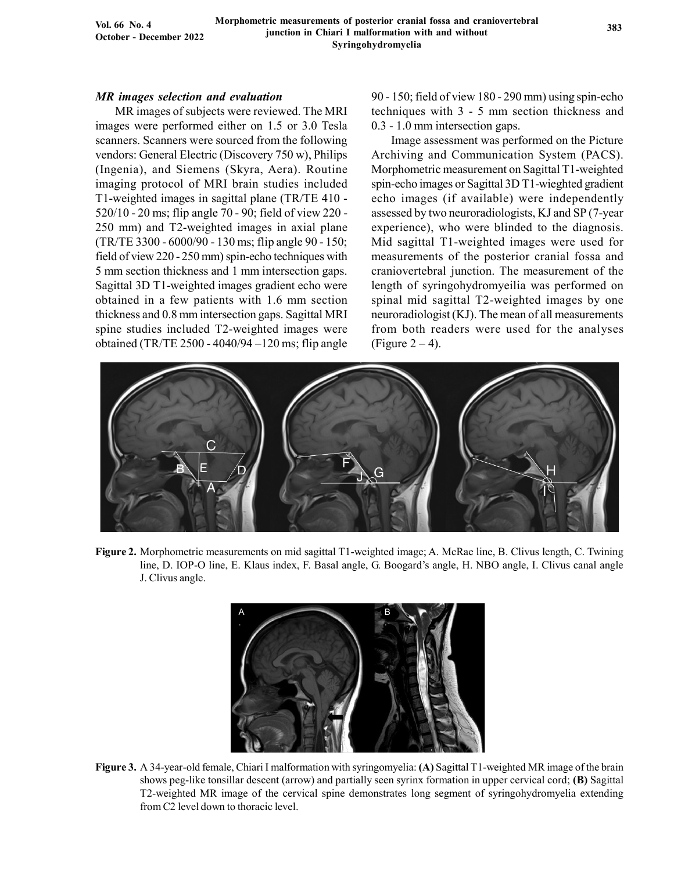Vol. 66 No. 4 October - December 2022

#### MR images selection and evaluation

MR images of subjects were reviewed. The MRI images were performed either on 1.5 or 3.0 Tesla scanners. Scanners were sourced from the following vendors: General Electric (Discovery 750 w), Philips (Ingenia), and Siemens (Skyra, Aera). Routine imaging protocol of MRI brain studies included T1-weighted images in sagittal plane (TR/TE 410 - 520/10 - 20 ms; flip angle 70 - 90; field of view 220 - 250 mm) and T2-weighted images in axial plane (TR/TE 3300 - 6000/90 - 130 ms; flip angle 90 - 150; field of view 220 - 250 mm) spin-echo techniques with 5 mm section thickness and 1 mm intersection gaps. Sagittal 3D T1-weighted images gradient echo were obtained in a few patients with 1.6 mm section thickness and 0.8 mm intersection gaps. Sagittal MRI spine studies included T2-weighted images were obtained (TR/TE 2500 - 4040/94 –120 ms; flip angle

90 - 150; field of view 180 - 290 mm) using spin-echo techniques with 3 - 5 mm section thickness and 0.3 - 1.0 mm intersection gaps.

Image assessment was performed on the Picture Archiving and Communication System (PACS). Morphometric measurement on Sagittal T1-weighted spin-echo images or Sagittal 3D T1-wieghted gradient echo images (if available) were independently assessed by two neuroradiologists, KJ and SP (7-year experience), who were blinded to the diagnosis. Mid sagittal T1-weighted images were used for measurements of the posterior cranial fossa and craniovertebral junction. The measurement of the length of syringohydromyeilia was performed on spinal mid sagittal T2-weighted images by one neuroradiologist (KJ). The mean of all measurements from both readers were used for the analyses (Figure  $2 - 4$ ).



Figure 2. Morphometric measurements on mid sagittal T1-weighted image; A. McRae line, B. Clivus length, C. Twining line, D. IOP-O line, E. Klaus index, F. Basal angle, G. Boogard's angle, H. NBO angle, I. Clivus canal angle J. Clivus angle.



Figure 3. A 34-year-old female, Chiari I malformation with syringomyelia: (A) Sagittal T1-weighted MR image of the brain shows peg-like tonsillar descent (arrow) and partially seen syrinx formation in upper cervical cord; (B) Sagittal T2-weighted MR image of the cervical spine demonstrates long segment of syringohydromyelia extending from C2 level down to thoracic level.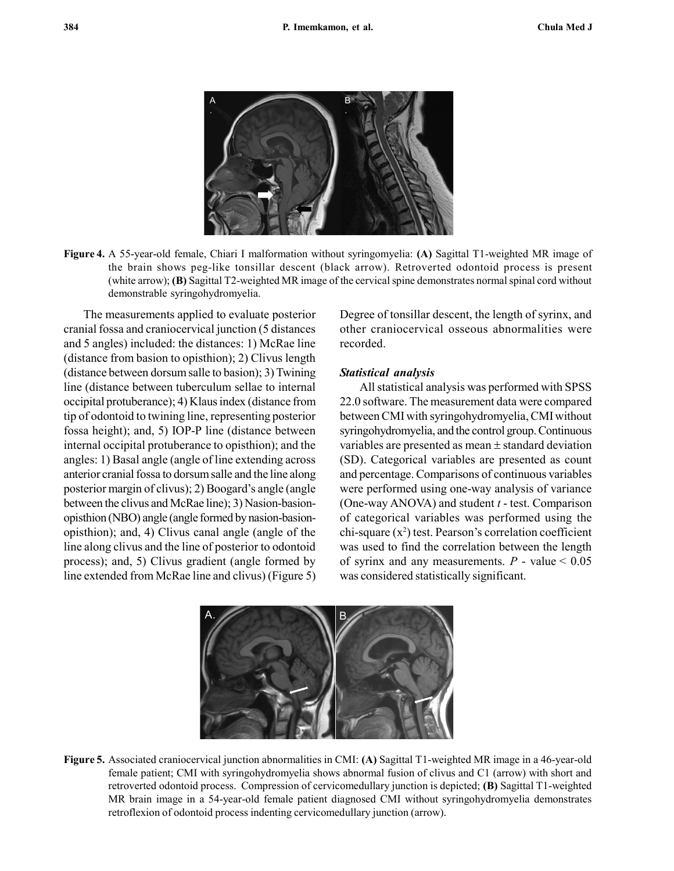

Figure 4. A 55-year-old female, Chiari I malformation without syringomyelia: (A) Sagittal T1-weighted MR image of the brain shows peg-like tonsillar descent (black arrow). Retroverted odontoid process is present (white arrow); (B) Sagittal T2-weighted MR image of the cervical spine demonstrates normal spinal cord without demonstrable syringohydromyelia.

The measurements applied to evaluate posterior cranial fossa and craniocervical junction (5 distances and 5 angles) included: the distances: 1) McRae line (distance from basion to opisthion); 2) Clivus length (distance between dorsum salle to basion); 3) Twining line (distance between tuberculum sellae to internal occipital protuberance); 4) Klaus index (distance from tip of odontoid to twining line, representing posterior fossa height); and, 5) IOP-P line (distance between internal occipital protuberance to opisthion); and the angles: 1) Basal angle (angle of line extending across anterior cranial fossa to dorsum salle and the line along posterior margin of clivus); 2) Boogard's angle (angle between the clivus and McRae line); 3) Nasion-basionopisthion (NBO) angle (angle formed by nasion-basionopisthion); and, 4) Clivus canal angle (angle of the line along clivus and the line of posterior to odontoid process); and, 5) Clivus gradient (angle formed by line extended from McRae line and clivus) (Figure 5) Degree of tonsillar descent, the length of syrinx, and other craniocervical osseous abnormalities were recorded.

#### Statistical analysis

All statistical analysis was performed with SPSS 22.0 software. The measurement data were compared between CMI with syringohydromyelia, CMI without syringohydromyelia, and the control group. Continuous variables are presented as mean  $\pm$  standard deviation (SD). Categorical variables are presented as count and percentage. Comparisons of continuous variables were performed using one-way analysis of variance (One-way ANOVA) and student  $t$  - test. Comparison of categorical variables was performed using the chi-square  $(x^2)$  test. Pearson's correlation coefficient was used to find the correlation between the length of syrinx and any measurements.  $P$  - value < 0.05 was considered statistically significant.



Figure 5. Associated craniocervical junction abnormalities in CMI: (A) Sagittal T1-weighted MR image in a 46-year-old female patient; CMI with syringohydromyelia shows abnormal fusion of clivus and C1 (arrow) with short and retroverted odontoid process. Compression of cervicomedullary junction is depicted; (B) Sagittal T1-weighted MR brain image in a 54-year-old female patient diagnosed CMI without syringohydromyelia demonstrates retroflexion of odontoid process indenting cervicomedullary junction (arrow).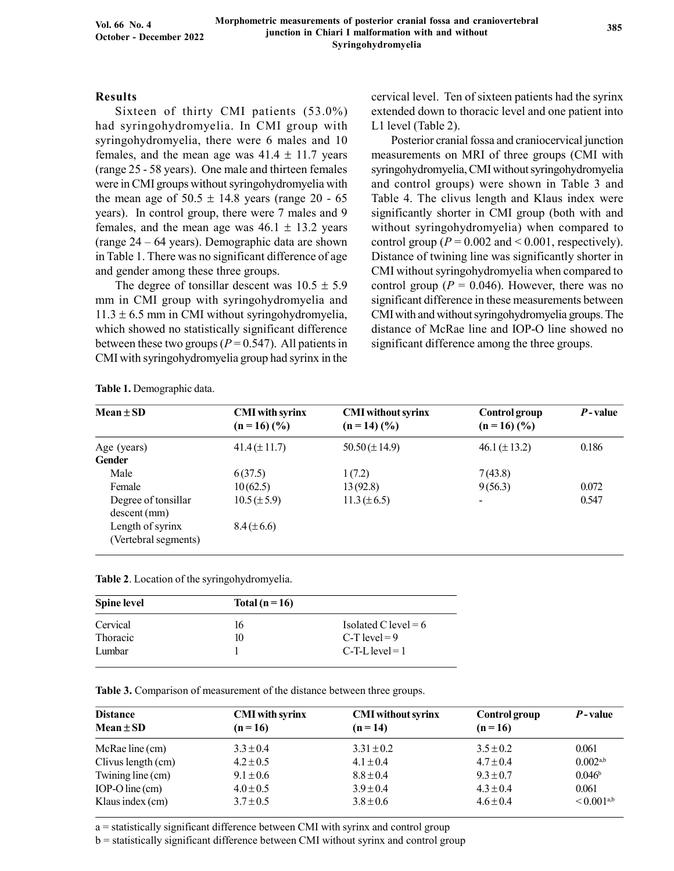## Results

Sixteen of thirty CMI patients (53.0%) had syringohydromyelia. In CMI group with syringohydromyelia, there were 6 males and 10 females, and the mean age was  $41.4 \pm 11.7$  years (range 25 - 58 years). One male and thirteen females were in CMI groups without syringohydromyelia with the mean age of  $50.5 \pm 14.8$  years (range 20 - 65 years). In control group, there were 7 males and 9 females, and the mean age was  $46.1 \pm 13.2$  years (range 24 – 64 years). Demographic data are shown in Table 1. There was no significant difference of age and gender among these three groups.

The degree of tonsillar descent was  $10.5 \pm 5.9$ mm in CMI group with syringohydromyelia and  $11.3 \pm 6.5$  mm in CMI without syringohydromyelia, which showed no statistically significant difference between these two groups ( $P = 0.547$ ). All patients in CMI with syringohydromyelia group had syrinx in the cervical level. Ten of sixteen patients had the syrinx extended down to thoracic level and one patient into L1 level (Table 2).

Posterior cranial fossa and craniocervical junction measurements on MRI of three groups (CMI with syringohydromyelia, CMI without syringohydromyelia and control groups) were shown in Table 3 and Table 4. The clivus length and Klaus index were significantly shorter in CMI group (both with and without syringohydromyelia) when compared to control group ( $P = 0.002$  and  $\le 0.001$ , respectively). Distance of twining line was significantly shorter in CMI without syringohydromyelia when compared to control group ( $P = 0.046$ ). However, there was no significant difference in these measurements between CMI with and without syringohydromyelia groups. The distance of McRae line and IOP-O line showed no significant difference among the three groups.

| $Mean \pm SD$                            | <b>CMI</b> with syrinx<br>$(n = 16)$ (%) | <b>CMI</b> without syrinx<br>$(n = 14)$ (%) | Control group<br>$(n = 16)$ (%) | $P$ -value |
|------------------------------------------|------------------------------------------|---------------------------------------------|---------------------------------|------------|
| Age (years)                              | $41.4 (\pm 11.7)$                        | $50.50 \times 14.9$                         | 46.1 $(\pm 13.2)$               | 0.186      |
| <b>Gender</b>                            |                                          |                                             |                                 |            |
| Male                                     | 6(37.5)                                  | 1(7.2)                                      | 7(43.8)                         |            |
| Female                                   | 10(62.5)                                 | 13(92.8)                                    | 9(56.3)                         | 0.072      |
| Degree of tonsillar<br>descent(mm)       | $10.5 (\pm 5.9)$                         | $11.3 (\pm 6.5)$                            | $\overline{\phantom{a}}$        | 0.547      |
| Length of syrinx<br>(Vertebral segments) | $8.4 (\pm 6.6)$                          |                                             |                                 |            |

Table 1. Demographic data.

| Table 2. Location of the syringohydromyelia. |  |  |
|----------------------------------------------|--|--|
|                                              |  |  |

| <b>Spine level</b> | Total ( $n = 16$ ) |                        |
|--------------------|--------------------|------------------------|
| Cervical           | 16                 | Isolated C level = $6$ |
| Thoracic           | 10                 | C-T level $= 9$        |
| Lumbar             |                    | $C-T-I$ level = 1      |

Table 3. Comparison of measurement of the distance between three groups.

| <b>Distance</b><br>$Mean \pm SD$ | <b>CMI</b> with syrinx<br>$(n=16)$ | <b>CMI</b> without syrinx<br>$(n = 14)$ | Control group<br>$(n=16)$ | <i>P</i> -value        |
|----------------------------------|------------------------------------|-----------------------------------------|---------------------------|------------------------|
| McRae line $(cm)$                | $3.3 \pm 0.4$                      | $3.31 \pm 0.2$                          | $3.5 \pm 0.2$             | 0.061                  |
| Clivus length (cm)               | $4.2 \pm 0.5$                      | $4.1 \pm 0.4$                           | $4.7 \pm 0.4$             | $0.002^{a,b}$          |
| Twining line (cm)                | $9.1 \pm 0.6$                      | $8.8 \pm 0.4$                           | $9.3 \pm 0.7$             | $0.046^{\rm b}$        |
| IOP-O line $(cm)$                | $4.0 \pm 0.5$                      | $3.9 \pm 0.4$                           | $4.3 \pm 0.4$             | 0.061                  |
| Klaus index (cm)                 | $3.7 \pm 0.5$                      | $3.8 \pm 0.6$                           | $4.6 \pm 0.4$             | < 0.001 <sup>a,b</sup> |

a = statistically significant difference between CMI with syrinx and control group

b = statistically significant difference between CMI without syrinx and control group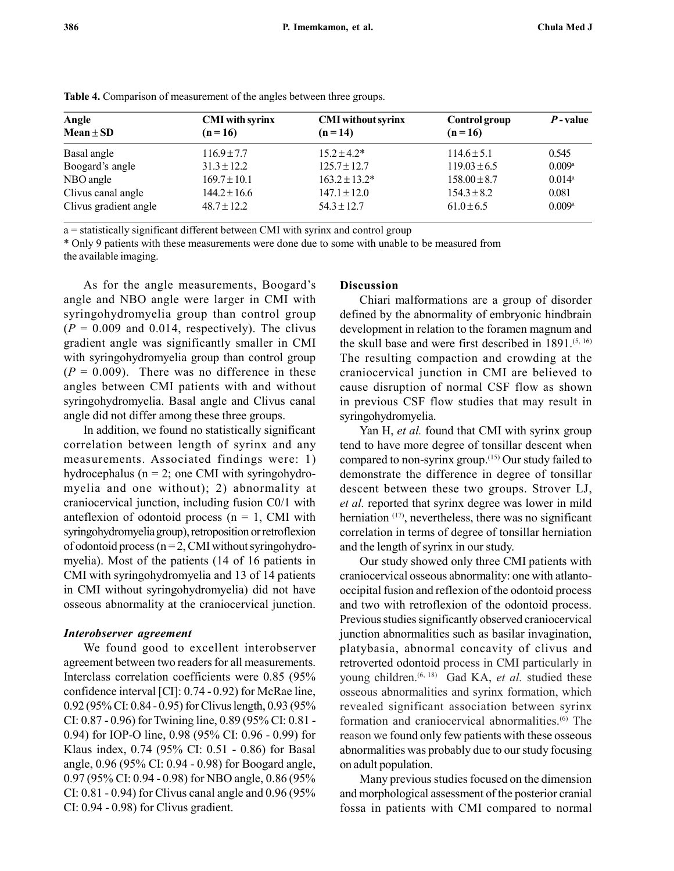| Angle<br>Mean ± SD                    | <b>CMI</b> with syrinx<br>$(n=16)$ | <b>CMI</b> without syrinx<br>$(n = 14)$ | Control group<br>$(n=16)$ | $P$ -value |  |
|---------------------------------------|------------------------------------|-----------------------------------------|---------------------------|------------|--|
| Basal angle                           | $116.9 \pm 7.7$                    | $15.2 \pm 4.2^*$                        | $114.6 \pm 5.1$           | 0.545      |  |
|                                       | $31.3 \pm 12.2$                    | $125.7 \pm 12.7$                        | $119.03 \pm 6.5$          | 0.009a     |  |
| NBO angle                             | $169.7 \pm 10.1$                   | $163.2 \pm 13.2^*$                      | $158.00 \pm 8.7$          | 0.014a     |  |
|                                       | $144.2 \pm 16.6$                   | $147.1 \pm 12.0$                        | $154.3 \pm 8.2$           | 0.081      |  |
| Clivus gradient angle                 | $48.7 \pm 12.2$                    | $54.3 \pm 12.7$                         | $61.0 \pm 6.5$            | 0.009a     |  |
| Boogard's angle<br>Clivus canal angle |                                    |                                         |                           |            |  |

Table 4. Comparison of measurement of the angles between three groups.

a = statistically significant different between CMI with syrinx and control group

\* Only 9 patients with these measurements were done due to some with unable to be measured from the available imaging.

As for the angle measurements, Boogard's angle and NBO angle were larger in CMI with syringohydromyelia group than control group  $(P = 0.009$  and 0.014, respectively). The clivus gradient angle was significantly smaller in CMI with syringohydromyelia group than control group  $(P = 0.009)$ . There was no difference in these angles between CMI patients with and without syringohydromyelia. Basal angle and Clivus canal angle did not differ among these three groups.

In addition, we found no statistically significant correlation between length of syrinx and any measurements. Associated findings were: 1) hydrocephalus ( $n = 2$ ; one CMI with syringohydromyelia and one without); 2) abnormality at craniocervical junction, including fusion C0/1 with anteflexion of odontoid process ( $n = 1$ , CMI with syringohydromyelia group), retroposition or retroflexion of odontoid process ( $n = 2$ , CMI without syringohydromyelia). Most of the patients (14 of 16 patients in CMI with syringohydromyelia and 13 of 14 patients in CMI without syringohydromyelia) did not have osseous abnormality at the craniocervical junction.

### Interobserver agreement

We found good to excellent interobserver agreement between two readers for all measurements. Interclass correlation coefficients were 0.85 (95% confidence interval [CI]: 0.74 - 0.92) for McRae line, 0.92 (95% CI: 0.84 - 0.95) for Clivus length, 0.93 (95% CI: 0.87 - 0.96) for Twining line, 0.89 (95% CI: 0.81 - 0.94) for IOP-O line, 0.98 (95% CI: 0.96 - 0.99) for Klaus index, 0.74 (95% CI: 0.51 - 0.86) for Basal angle, 0.96 (95% CI: 0.94 - 0.98) for Boogard angle, 0.97 (95% CI: 0.94 - 0.98) for NBO angle, 0.86 (95% CI: 0.81 - 0.94) for Clivus canal angle and 0.96 (95% CI: 0.94 - 0.98) for Clivus gradient.

### Discussion

Chiari malformations are a group of disorder defined by the abnormality of embryonic hindbrain development in relation to the foramen magnum and the skull base and were first described in 1891.<sup>(5, 16)</sup> The resulting compaction and crowding at the craniocervical junction in CMI are believed to cause disruption of normal CSF flow as shown in previous CSF flow studies that may result in syringohydromyelia.

Yan H, et al. found that CMI with syrinx group tend to have more degree of tonsillar descent when compared to non-syrinx group.(15) Our study failed to demonstrate the difference in degree of tonsillar descent between these two groups. Strover LJ, et al. reported that syrinx degree was lower in mild herniation <sup>(17)</sup>, nevertheless, there was no significant correlation in terms of degree of tonsillar herniation and the length of syrinx in our study.

Our study showed only three CMI patients with craniocervical osseous abnormality: one with atlantooccipital fusion and reflexion of the odontoid process and two with retroflexion of the odontoid process. Previous studies significantly observed craniocervical junction abnormalities such as basilar invagination, platybasia, abnormal concavity of clivus and retroverted odontoid process in CMI particularly in young children.<sup>(6, 18)</sup> Gad KA, et al. studied these osseous abnormalities and syrinx formation, which revealed significant association between syrinx formation and craniocervical abnormalities.(6) The reason we found only few patients with these osseous abnormalities was probably due to our study focusing on adult population.

Many previous studies focused on the dimension and morphological assessment of the posterior cranial fossa in patients with CMI compared to normal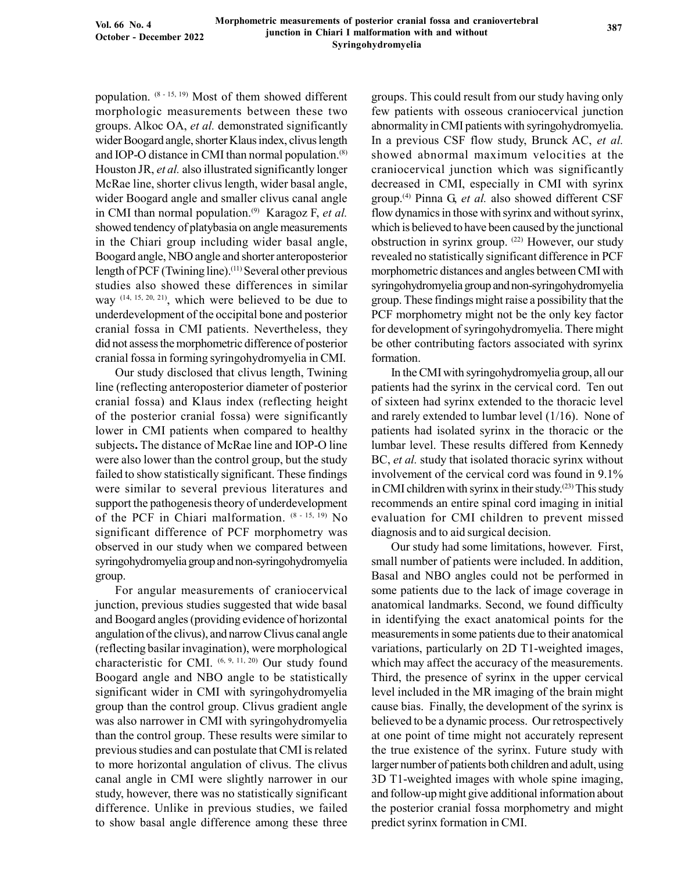population.  $(8 - 15, 19)$  Most of them showed different morphologic measurements between these two groups. Alkoc OA, et al. demonstrated significantly wider Boogard angle, shorter Klaus index, clivus length and IOP-O distance in CMI than normal population.(8) Houston JR, et al. also illustrated significantly longer McRae line, shorter clivus length, wider basal angle, wider Boogard angle and smaller clivus canal angle in CMI than normal population.<sup>(9)</sup> Karagoz F, et al. showed tendency of platybasia on angle measurements in the Chiari group including wider basal angle, Boogard angle, NBO angle and shorter anteroposterior length of PCF (Twining line).<sup>(11)</sup> Several other previous studies also showed these differences in similar way  $(14, 15, 20, 21)$ , which were believed to be due to underdevelopment of the occipital bone and posterior cranial fossa in CMI patients. Nevertheless, they did not assess the morphometric difference of posterior cranial fossa in forming syringohydromyelia in CMI.

Our study disclosed that clivus length, Twining line (reflecting anteroposterior diameter of posterior cranial fossa) and Klaus index (reflecting height of the posterior cranial fossa) were significantly lower in CMI patients when compared to healthy subjects. The distance of McRae line and IOP-O line were also lower than the control group, but the study failed to show statistically significant. These findings were similar to several previous literatures and support the pathogenesis theory of underdevelopment of the PCF in Chiari malformation. (8 - 15, 19) No significant difference of PCF morphometry was observed in our study when we compared between syringohydromyelia group and non-syringohydromyelia group.

For angular measurements of craniocervical junction, previous studies suggested that wide basal and Boogard angles (providing evidence of horizontal angulation of the clivus), and narrow Clivus canal angle (reflecting basilar invagination), were morphological characteristic for CMI. (6, 9, 11, 20) Our study found Boogard angle and NBO angle to be statistically significant wider in CMI with syringohydromyelia group than the control group. Clivus gradient angle was also narrower in CMI with syringohydromyelia than the control group. These results were similar to previous studies and can postulate that CMI is related to more horizontal angulation of clivus. The clivus canal angle in CMI were slightly narrower in our study, however, there was no statistically significant difference. Unlike in previous studies, we failed to show basal angle difference among these three groups. This could result from our study having only few patients with osseous craniocervical junction abnormality in CMI patients with syringohydromyelia. In a previous CSF flow study, Brunck AC, et al. showed abnormal maximum velocities at the craniocervical junction which was significantly decreased in CMI, especially in CMI with syrinx group.<sup>(4)</sup> Pinna G, et al. also showed different CSF flow dynamics in those with syrinx and without syrinx, which is believed to have been caused by the junctional obstruction in syrinx group. (22) However, our study revealed no statistically significant difference in PCF morphometric distances and angles between CMI with syringohydromyelia group and non-syringohydromyelia group. These findings might raise a possibility that the PCF morphometry might not be the only key factor for development of syringohydromyelia. There might be other contributing factors associated with syrinx formation.

In the CMI with syringohydromyelia group, all our patients had the syrinx in the cervical cord. Ten out of sixteen had syrinx extended to the thoracic level and rarely extended to lumbar level (1/16). None of patients had isolated syrinx in the thoracic or the lumbar level. These results differed from Kennedy BC, et al. study that isolated thoracic syrinx without involvement of the cervical cord was found in 9.1% in CMI children with syrinx in their study.(23) This study recommends an entire spinal cord imaging in initial evaluation for CMI children to prevent missed diagnosis and to aid surgical decision.

Our study had some limitations, however. First, small number of patients were included. In addition, Basal and NBO angles could not be performed in some patients due to the lack of image coverage in anatomical landmarks. Second, we found difficulty in identifying the exact anatomical points for the measurements in some patients due to their anatomical variations, particularly on 2D T1-weighted images, which may affect the accuracy of the measurements. Third, the presence of syrinx in the upper cervical level included in the MR imaging of the brain might cause bias. Finally, the development of the syrinx is believed to be a dynamic process. Our retrospectively at one point of time might not accurately represent the true existence of the syrinx. Future study with larger number of patients both children and adult, using 3D T1-weighted images with whole spine imaging, and follow-up might give additional information about the posterior cranial fossa morphometry and might predict syrinx formation in CMI.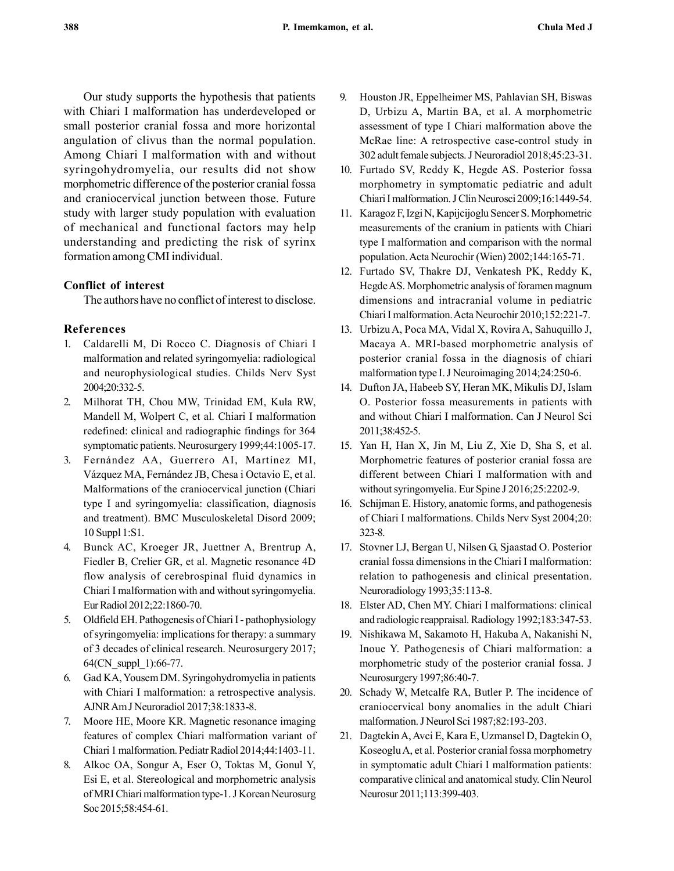Our study supports the hypothesis that patients with Chiari I malformation has underdeveloped or small posterior cranial fossa and more horizontal angulation of clivus than the normal population. Among Chiari I malformation with and without syringohydromyelia, our results did not show morphometric difference of the posterior cranial fossa and craniocervical junction between those. Future study with larger study population with evaluation of mechanical and functional factors may help understanding and predicting the risk of syrinx formation among CMI individual.

## Conflict of interest

The authors have no conflict of interest to disclose.

## References

- 1. Caldarelli M, Di Rocco C. Diagnosis of Chiari I malformation and related syringomyelia: radiological and neurophysiological studies. Childs Nerv Syst 2004;20:332-5.
- 2. Milhorat TH, Chou MW, Trinidad EM, Kula RW, Mandell M, Wolpert C, et al. Chiari I malformation redefined: clinical and radiographic findings for 364 symptomatic patients. Neurosurgery 1999;44:1005-17.
- 3. Fernández AA, Guerrero AI, Martínez MI, Vázquez MA, Fernández JB, Chesa i Octavio E, et al. Malformations of the craniocervical junction (Chiari type I and syringomyelia: classification, diagnosis and treatment). BMC Musculoskeletal Disord 2009; 10 Suppl 1:S1.
- 4. Bunck AC, Kroeger JR, Juettner A, Brentrup A, Fiedler B, Crelier GR, et al. Magnetic resonance 4D flow analysis of cerebrospinal fluid dynamics in Chiari I malformation with and without syringomyelia. Eur Radiol 2012;22:1860-70.
- 5. Oldfield EH. Pathogenesis of Chiari I pathophysiology of syringomyelia: implications for therapy: a summary of 3 decades of clinical research. Neurosurgery 2017; 64(CN\_suppl\_1):66-77.
- 6. Gad KA, Yousem DM. Syringohydromyelia in patients with Chiari I malformation: a retrospective analysis. AJNR Am J Neuroradiol 2017;38:1833-8.
- 7. Moore HE, Moore KR. Magnetic resonance imaging features of complex Chiari malformation variant of Chiari 1 malformation. Pediatr Radiol 2014;44:1403-11.
- 8. Alkoc OA, Songur A, Eser O, Toktas M, Gonul Y, Esi E, et al. Stereological and morphometric analysis of MRI Chiari malformation type-1. J Korean Neurosurg Soc 2015;58:454-61.
- 9. Houston JR, Eppelheimer MS, Pahlavian SH, Biswas D, Urbizu A, Martin BA, et al. A morphometric assessment of type I Chiari malformation above the McRae line: A retrospective case-control study in 302 adult female subjects. J Neuroradiol 2018;45:23-31.
- 10. Furtado SV, Reddy K, Hegde AS. Posterior fossa morphometry in symptomatic pediatric and adult Chiari I malformation. J Clin Neurosci 2009;16:1449-54.
- 11. Karagoz F, Izgi N, Kapijcijoglu Sencer S. Morphometric measurements of the cranium in patients with Chiari type I malformation and comparison with the normal population. Acta Neurochir (Wien) 2002;144:165-71.
- 12. Furtado SV, Thakre DJ, Venkatesh PK, Reddy K, Hegde AS. Morphometric analysis of foramen magnum dimensions and intracranial volume in pediatric Chiari I malformation. Acta Neurochir 2010;152:221-7.
- 13. Urbizu A, Poca MA, Vidal X, Rovira A, Sahuquillo J, Macaya A. MRI-based morphometric analysis of posterior cranial fossa in the diagnosis of chiari malformation type I. J Neuroimaging 2014;24:250-6.
- 14. Dufton JA, Habeeb SY, Heran MK, Mikulis DJ, Islam O. Posterior fossa measurements in patients with and without Chiari I malformation. Can J Neurol Sci 2011;38:452-5.
- 15. Yan H, Han X, Jin M, Liu Z, Xie D, Sha S, et al. Morphometric features of posterior cranial fossa are different between Chiari I malformation with and without syringomyelia. Eur Spine J 2016;25:2202-9.
- 16. Schijman E. History, anatomic forms, and pathogenesis of Chiari I malformations. Childs Nerv Syst 2004;20: 323-8.
- 17. Stovner LJ, Bergan U, Nilsen G, Sjaastad O. Posterior cranial fossa dimensions in the Chiari I malformation: relation to pathogenesis and clinical presentation. Neuroradiology 1993;35:113-8.
- 18. Elster AD, Chen MY. Chiari I malformations: clinical and radiologic reappraisal. Radiology 1992;183:347-53.
- 19. Nishikawa M, Sakamoto H, Hakuba A, Nakanishi N, Inoue Y. Pathogenesis of Chiari malformation: a morphometric study of the posterior cranial fossa. J Neurosurgery 1997;86:40-7.
- 20. Schady W, Metcalfe RA, Butler P. The incidence of craniocervical bony anomalies in the adult Chiari malformation. J Neurol Sci 1987;82:193-203.
- 21. Dagtekin A, Avci E, Kara E, Uzmansel D, Dagtekin O, Koseoglu A, et al. Posterior cranial fossa morphometry in symptomatic adult Chiari I malformation patients: comparative clinical and anatomical study. Clin Neurol Neurosur 2011;113:399-403.